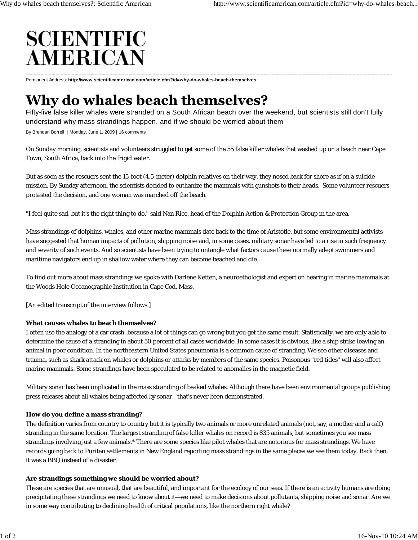# **SCIENTIFIC AMERICAN**

Permanent Address: **http://www.scientificamerican.com/article.cfm?id=why-do-whales-beach-themselves**

# Why do whales beach themselves?

Fifty-five false killer whales were stranded on a South African beach over the weekend, but scientists still don't fully understand why mass strandings happen, and if we should be worried about them

By Brendan Borrell | Monday, June 1, 2009 | 16 comments

On Sunday morning, scientists and volunteers struggled to get some of the 55 false killer whales that washed up on a beach near Cape Town, South Africa, back into the frigid water.

But as soon as the rescuers sent the 15-foot (4.5-meter) dolphin relatives on their way, they nosed back for shore as if on a suicide mission. By Sunday afternoon, the scientists decided to euthanize the mammals with gunshots to their heads. Some volunteer rescuers protested the decision, and one woman was marched off the beach.

"I feel quite sad, but it's the right thing to do," said Nan Rice, head of the Dolphin Action & Protection Group in the area.

Mass strandings of dolphins, whales, and other marine mammals date back to the time of Aristotle, but some environmental activists have suggested that human impacts of pollution, shipping noise and, in some cases, military sonar have led to a rise in such frequency and severity of such events. And so scientists have been trying to untangle what factors cause these normally adept swimmers and maritime navigators end up in shallow water where they can become beached and die.

To find out more about mass strandings we spoke with Darlene Ketten, a neuroethologist and expert on hearing in marine mammals at the Woods Hole Oceanographic Institution in Cape Cod, Mass.

[An edited transcript of the interview follows.]

#### **What causes whales to beach themselves?**

I often use the analogy of a car crash, because a lot of things can go wrong but you get the same result. Statistically, we are only able to determine the cause of a stranding in about 50 percent of all cases worldwide. In some cases it is obvious, like a ship strike leaving an animal in poor condition. In the northeastern United States pneumonia is a common cause of stranding. We see other diseases and trauma, such as shark attack on whales or dolphins or attacks by members of the same species. Poisonous "red tides" will also affect marine mammals. Some strandings have been speculated to be related to anomalies in the magnetic field.

Military sonar has been implicated in the mass stranding of beaked whales. Although there have been environmental groups publishing press releases about all whales being affected by sonar—that's never been demonstrated.

## **How do you define a mass stranding?**

The definition varies from country to country but it is typically two animals or more unrelated animals (not, say, a mother and a calf) stranding in the same location. The largest stranding of false killer whales on record is 835 animals, but sometimes you see mass strandings involving just a few animals.\* There are some species like pilot whales that are notorious for mass strandings. We have records going back to Puritan settlements in New England reporting mass strandings in the same places we see them today. Back then, it was a BBQ instead of a disaster.

## **Are strandings something we should be worried about?**

These are species that are unusual, that are beautiful, and important for the ecology of our seas. If there is an activity humans are doing precipitating these strandings we need to know about it—we need to make decisions about pollutants, shipping noise and sonar. Are we in some way contributing to declining health of critical populations, like the northern right whale?